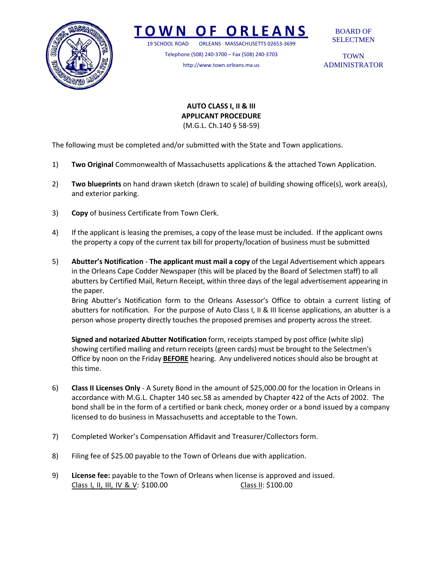

## **TOWN O F ORLEANS**

19 SCHOOL ROAD ORLEANS MASSACHUSETTS 02653‐3699

Telephone (508) 240‐3700 – Fax (508) 240‐3703 http://www.town.orleans.ma.us

BOARD OF SELECTMEN

**TOWN** ADMINISTRATOR

#### **AUTO CLASS I, II & III APPLICANT PROCEDURE** (M.G.L. Ch.140 § 58‐59)

The following must be completed and/or submitted with the State and Town applications.

- 1) **Two Original** Commonwealth of Massachusetts applications & the attached Town Application.
- 2) **Two blueprints** on hand drawn sketch (drawn to scale) of building showing office(s), work area(s), and exterior parking.
- 3) **Copy** of business Certificate from Town Clerk.
- 4) If the applicant is leasing the premises, a copy of the lease must be included. If the applicant owns the property a copy of the current tax bill for property/location of business must be submitted
- 5) **Abutter's Notification** ‐ **The applicant must mail a copy** of the Legal Advertisement which appears in the Orleans Cape Codder Newspaper (this will be placed by the Board of Selectmen staff) to all abutters by Certified Mail, Return Receipt, within three days of the legal advertisement appearing in the paper.

Bring Abutter's Notification form to the Orleans Assessor's Office to obtain a current listing of abutters for notification. For the purpose of Auto Class I, II & III license applications, an abutter is a person whose property directly touches the proposed premises and property across the street.

**Signed and notarized Abutter Notification** form, receipts stamped by post office (white slip) showing certified mailing and return receipts (green cards) must be brought to the Selectmen's Office by noon on the Friday **BEFORE** hearing. Any undelivered notices should also be brought at this time.

- 6) **Class II Licenses Only** ‐ A Surety Bond in the amount of \$25,000.00 for the location in Orleans in accordance with M.G.L. Chapter 140 sec.58 as amended by Chapter 422 of the Acts of 2002. The bond shall be in the form of a certified or bank check, money order or a bond issued by a company licensed to do business in Massachusetts and acceptable to the Town.
- 7) Completed Worker's Compensation Affidavit and Treasurer/Collectors form.
- 8) Filing fee of \$25.00 payable to the Town of Orleans due with application.
- 9) **License fee:** payable to the Town of Orleans when license is approved and issued. Class I, II, III, IV & V: \$100.00